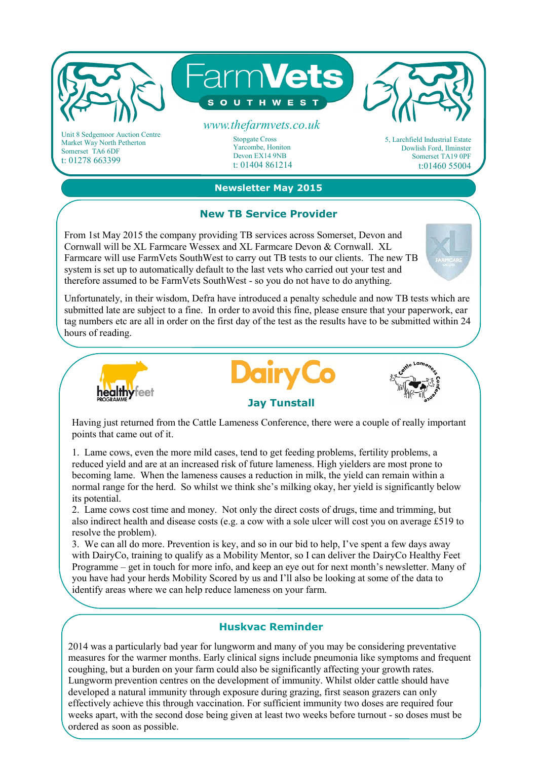

Market Way North Petherton Somerset TA6 6DF t: 01278 663399

**Newsletter May 2015**

Devon EX14 9NB t: 01404 861214

## **New TB Service Provider**

From 1st May 2015 the company providing TB services across Somerset, Devon and Cornwall will be XL Farmcare Wessex and XL Farmcare Devon & Cornwall. XL Farmcare will use FarmVets SouthWest to carry out TB tests to our clients. The new TB system is set up to automatically default to the last vets who carried out your test and therefore assumed to be FarmVets SouthWest - so you do not have to do anything.

Unfortunately, in their wisdom, Defra have introduced a penalty schedule and now TB tests which are submitted late are subject to a fine. In order to avoid this fine, please ensure that your paperwork, ear tag numbers etc are all in order on the first day of the test as the results have to be submitted within 24 hours of reading.







Dowlish Ford, Ilminster Somerset TA19 0PF t:01460 55004

Having just returned from the Cattle Lameness Conference, there were a couple of really important points that came out of it.

1. Lame cows, even the more mild cases, tend to get feeding problems, fertility problems, a reduced yield and are at an increased risk of future lameness. High yielders are most prone to becoming lame. When the lameness causes a reduction in milk, the yield can remain within a normal range for the herd. So whilst we think she's milking okay, her yield is significantly below its potential.

2. Lame cows cost time and money. Not only the direct costs of drugs, time and trimming, but also indirect health and disease costs (e.g. a cow with a sole ulcer will cost you on average £519 to resolve the problem).

3. We can all do more. Prevention is key, and so in our bid to help, I've spent a few days away with DairyCo, training to qualify as a Mobility Mentor, so I can deliver the DairyCo Healthy Feet Programme – get in touch for more info, and keep an eye out for next month's newsletter. Many of you have had your herds Mobility Scored by us and I'll also be looking at some of the data to identify areas where we can help reduce lameness on your farm.

## **Huskvac Reminder**

2014 was a particularly bad year for lungworm and many of you may be considering preventative measures for the warmer months. Early clinical signs include pneumonia like symptoms and frequent coughing, but a burden on your farm could also be significantly affecting your growth rates. Lungworm prevention centres on the development of immunity. Whilst older cattle should have developed a natural immunity through exposure during grazing, first season grazers can only effectively achieve this through vaccination. For sufficient immunity two doses are required four weeks apart, with the second dose being given at least two weeks before turnout - so doses must be ordered as soon as possible.